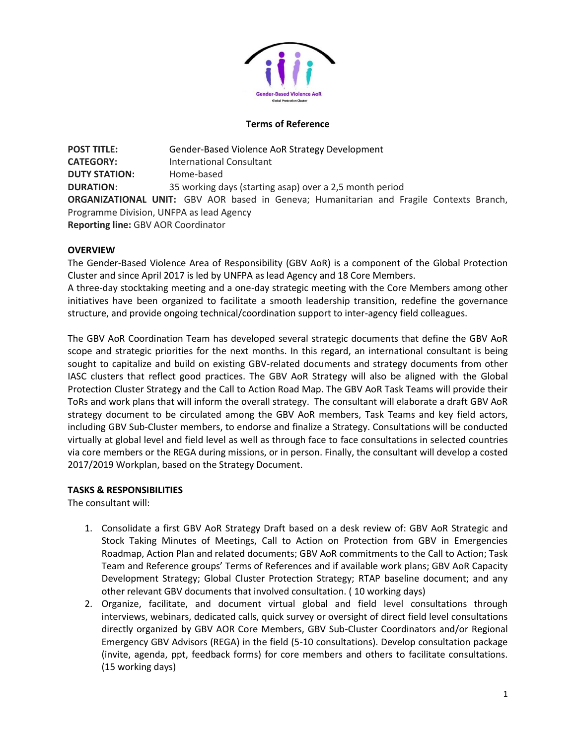

### **Terms of Reference**

**POST TITLE:** Gender-Based Violence AoR Strategy Development **CATEGORY:** International Consultant **DUTY STATION:** Home-based **DURATION**: 35 working days (starting asap) over a 2,5 month period **ORGANIZATIONAL UNIT:** GBV AOR based in Geneva; Humanitarian and Fragile Contexts Branch, Programme Division, UNFPA as lead Agency **Reporting line:** GBV AOR Coordinator

## **OVERVIEW**

The Gender-Based Violence Area of Responsibility (GBV AoR) is a component of the Global Protection Cluster and since April 2017 is led by UNFPA as lead Agency and 18 Core Members.

A three-day stocktaking meeting and a one-day strategic meeting with the Core Members among other initiatives have been organized to facilitate a smooth leadership transition, redefine the governance structure, and provide ongoing technical/coordination support to inter-agency field colleagues.

The GBV AoR Coordination Team has developed several strategic documents that define the GBV AoR scope and strategic priorities for the next months. In this regard, an international consultant is being sought to capitalize and build on existing GBV-related documents and strategy documents from other IASC clusters that reflect good practices. The GBV AoR Strategy will also be aligned with the Global Protection Cluster Strategy and the Call to Action Road Map. The GBV AoR Task Teams will provide their ToRs and work plans that will inform the overall strategy. The consultant will elaborate a draft GBV AoR strategy document to be circulated among the GBV AoR members, Task Teams and key field actors, including GBV Sub-Cluster members, to endorse and finalize a Strategy. Consultations will be conducted virtually at global level and field level as well as through face to face consultations in selected countries via core members or the REGA during missions, or in person. Finally, the consultant will develop a costed 2017/2019 Workplan, based on the Strategy Document.

#### **TASKS & RESPONSIBILITIES**

The consultant will:

- 1. Consolidate a first GBV AoR Strategy Draft based on a desk review of: GBV AoR Strategic and Stock Taking Minutes of Meetings, Call to Action on Protection from GBV in Emergencies Roadmap, Action Plan and related documents; GBV AoR commitments to the Call to Action; Task Team and Reference groups' Terms of References and if available work plans; GBV AoR Capacity Development Strategy; Global Cluster Protection Strategy; RTAP baseline document; and any other relevant GBV documents that involved consultation. ( 10 working days)
- 2. Organize, facilitate, and document virtual global and field level consultations through interviews, webinars, dedicated calls, quick survey or oversight of direct field level consultations directly organized by GBV AOR Core Members, GBV Sub-Cluster Coordinators and/or Regional Emergency GBV Advisors (REGA) in the field (5-10 consultations). Develop consultation package (invite, agenda, ppt, feedback forms) for core members and others to facilitate consultations. (15 working days)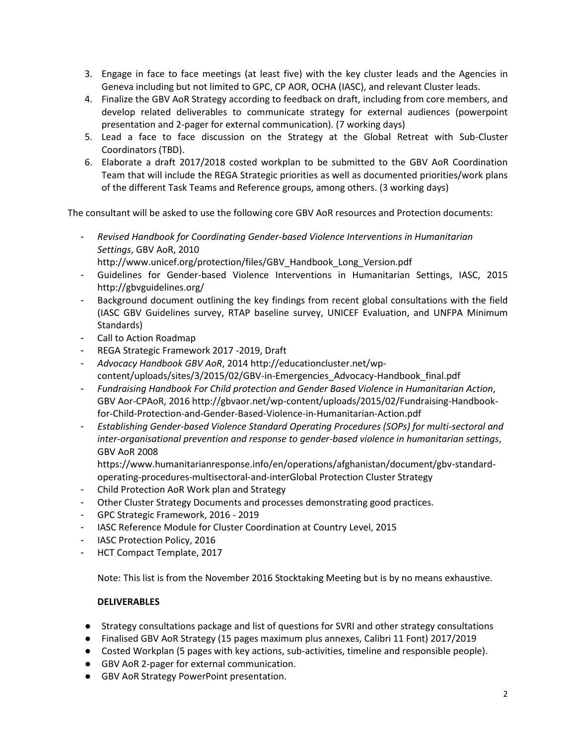- 3. Engage in face to face meetings (at least five) with the key cluster leads and the Agencies in Geneva including but not limited to GPC, CP AOR, OCHA (IASC), and relevant Cluster leads.
- 4. Finalize the GBV AoR Strategy according to feedback on draft, including from core members, and develop related deliverables to communicate strategy for external audiences (powerpoint presentation and 2-pager for external communication). (7 working days)
- 5. Lead a face to face discussion on the Strategy at the Global Retreat with Sub-Cluster Coordinators (TBD).
- 6. Elaborate a draft 2017/2018 costed workplan to be submitted to the GBV AoR Coordination Team that will include the REGA Strategic priorities as well as documented priorities/work plans of the different Task Teams and Reference groups, among others. (3 working days)

The consultant will be asked to use the following core GBV AoR resources and Protection documents:

- *Revised Handbook for Coordinating Gender-based Violence Interventions in Humanitarian Settings*, GBV AoR, 2010
	- [http://www.unicef.org/protection/files/GBV\\_Handbook\\_Long\\_Version.pdf](http://www.unicef.org/protection/files/GBV_Handbook_Long_Version.pdf)
- Guidelines for Gender-based Violence Interventions in Humanitarian Settings, IASC, 2015 <http://gbvguidelines.org/>
- Background document outlining the key findings from recent global consultations with the field (IASC GBV Guidelines survey, RTAP baseline survey, UNICEF Evaluation, and UNFPA Minimum Standards)
- Call to Action Roadmap
- REGA Strategic Framework 2017 -2019, Draft
- *Advocacy Handbook GBV AoR*, 2014 http://educationcluster.net/wpcontent/uploads/sites/3/2015/02/GBV-in-Emergencies\_Advocacy-Handbook\_final.pdf
- *Fundraising Handbook For Child protection and Gender Based Violence in Humanitarian Action*, GBV Aor-CPAoR, 2016 http://gbvaor.net/wp-content/uploads/2015/02/Fundraising-Handbookfor-Child-Protection-and-Gender-Based-Violence-in-Humanitarian-Action.pdf
- *Establishing Gender-based Violence Standard Operating Procedures (SOPs) for multi-sectoral and inter-organisational prevention and response to gender-based violence in humanitarian settings*, GBV AoR 2008

https://www.humanitarianresponse.info/en/operations/afghanistan/document/gbv-standardoperating-procedures-multisectoral-and-interGlobal Protection Cluster Strategy

- Child Protection AoR Work plan and Strategy
- Other Cluster Strategy Documents and processes demonstrating good practices.
- GPC Strategic Framework, 2016 2019
- IASC Reference Module for Cluster Coordination at Country Level, 2015
- IASC Protection Policy, 2016
- HCT Compact Template, 2017

Note: This list is from the November 2016 Stocktaking Meeting but is by no means exhaustive.

# **DELIVERABLES**

- Strategy consultations package and list of questions for SVRI and other strategy consultations
- Finalised GBV AoR Strategy (15 pages maximum plus annexes, Calibri 11 Font) 2017/2019
- Costed Workplan (5 pages with key actions, sub-activities, timeline and responsible people).
- GBV AoR 2-pager for external communication.
- GBV AoR Strategy PowerPoint presentation.